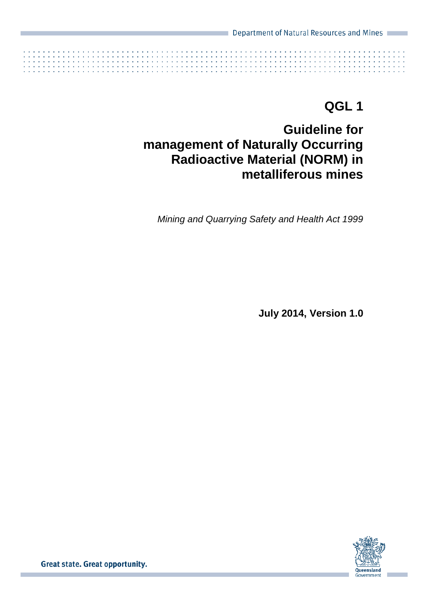

# **QGL 1**

# **Guideline for management of Naturally Occurring Radioactive Material (NORM) in metalliferous mines**

*Mining and Quarrying Safety and Health Act 1999*

**July 2014, Version 1.0**

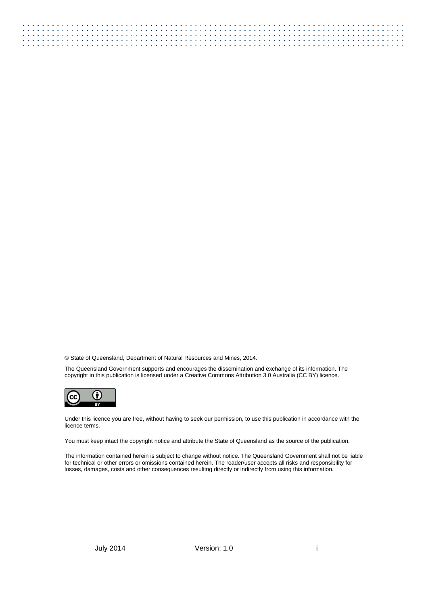© State of Queensland, Department of Natural Resources and Mines, 2014.

The Queensland Government supports and encourages the dissemination and exchange of its information. The copyright in this publication is licensed under a Creative Commons Attribution 3.0 Australia (CC BY) licence.



Under this licence you are free, without having to seek our permission, to use this publication in accordance with the licence terms.

You must keep intact the copyright notice and attribute the State of Queensland as the source of the publication.

The information contained herein is subject to change without notice. The Queensland Government shall not be liable for technical or other errors or omissions contained herein. The reader/user accepts all risks and responsibility for losses, damages, costs and other consequences resulting directly or indirectly from using this information.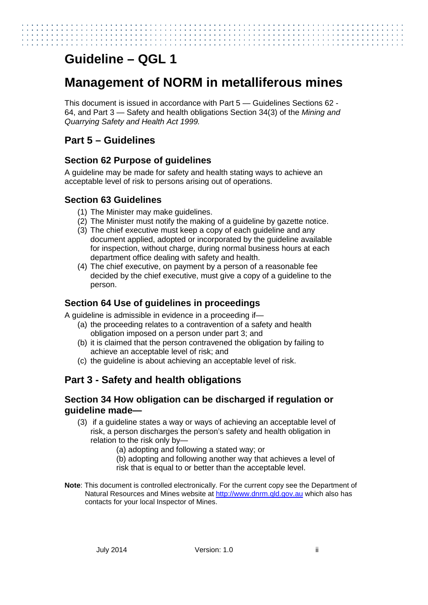# **Guideline – QGL 1**

# **Management of NORM in metalliferous mines**

This document is issued in accordance with Part 5 — Guidelines Sections 62 - 64, and Part 3 — Safety and health obligations Section 34(3) of the *Mining and Quarrying Safety and Health Act 1999.* 

# **Part 5 – Guidelines**

## **Section 62 Purpose of guidelines**

A guideline may be made for safety and health stating ways to achieve an acceptable level of risk to persons arising out of operations.

## **Section 63 Guidelines**

- (1) The Minister may make guidelines.
- (2) The Minister must notify the making of a guideline by gazette notice.
- (3) The chief executive must keep a copy of each guideline and any document applied, adopted or incorporated by the guideline available for inspection, without charge, during normal business hours at each department office dealing with safety and health.
- (4) The chief executive, on payment by a person of a reasonable fee decided by the chief executive, must give a copy of a guideline to the person.

## **Section 64 Use of guidelines in proceedings**

A guideline is admissible in evidence in a proceeding if—

- (a) the proceeding relates to a contravention of a safety and health obligation imposed on a person under part 3; and
- (b) it is claimed that the person contravened the obligation by failing to achieve an acceptable level of risk; and
- (c) the guideline is about achieving an acceptable level of risk.

# **Part 3 - Safety and health obligations**

## **Section 34 How obligation can be discharged if regulation or guideline made—**

- (3) if a guideline states a way or ways of achieving an acceptable level of risk, a person discharges the person's safety and health obligation in relation to the risk only by—
	- (a) adopting and following a stated way; or
	- (b) adopting and following another way that achieves a level of risk that is equal to or better than the acceptable level.
- **Note**: This document is controlled electronically. For the current copy see the Department of Natural Resources and Mines website at [http://www.dnrm.qld.gov.au](http://www.dnrm.qld.gov.au/) which also has contacts for your local Inspector of Mines.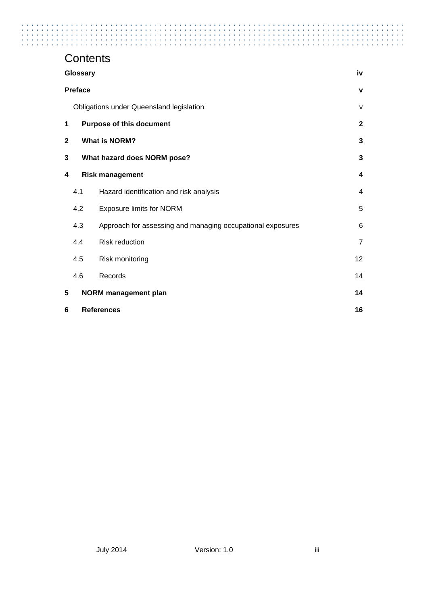# **Contents**

| Glossary                  |                                 |                                                            | iv             |
|---------------------------|---------------------------------|------------------------------------------------------------|----------------|
|                           | <b>Preface</b>                  |                                                            | v              |
|                           |                                 | Obligations under Queensland legislation                   | V              |
| 1                         | <b>Purpose of this document</b> |                                                            | $\mathbf{2}$   |
| 2<br><b>What is NORM?</b> |                                 | 3                                                          |                |
| 3                         | What hazard does NORM pose?     |                                                            | 3              |
| 4                         |                                 | <b>Risk management</b>                                     | 4              |
|                           | 4.1                             | Hazard identification and risk analysis                    | 4              |
|                           | 4.2                             | <b>Exposure limits for NORM</b>                            | 5              |
|                           | 4.3                             | Approach for assessing and managing occupational exposures | 6              |
|                           | 4.4                             | <b>Risk reduction</b>                                      | $\overline{7}$ |
|                           | 4.5                             | Risk monitoring                                            | 12             |
|                           | 4.6                             | Records                                                    | 14             |
| 5                         |                                 | <b>NORM</b> management plan                                | 14             |
| 6                         | <b>References</b>               |                                                            | 16             |

 $\sim$  $\ddot{\phantom{1}}$  $\cdot$  a construction of the construction of the construction of the construction of the construction of the construction of the construction of the construction of the construction of the construction of the construction of the

 $\mathcal{L}$  $\ddot{\phantom{a}}$ ÷. ÷,  $\frac{1}{2}$ 

ł ł ł

l. t,

 $\ddot{\phantom{1}}$  $\sim$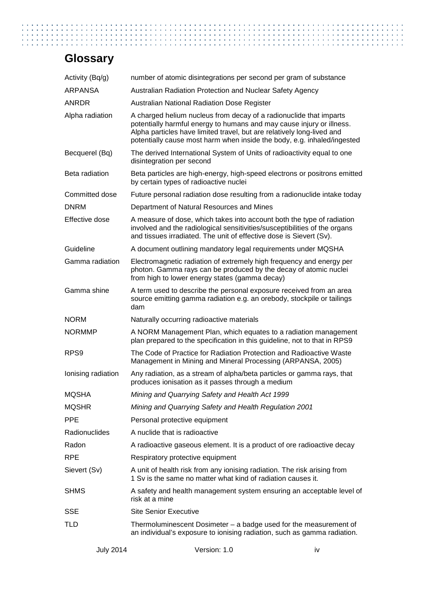# <span id="page-4-0"></span>**Glossary**

| Activity (Bq/g)    | number of atomic disintegrations per second per gram of substance                                                                                                                                                                                                                                |    |
|--------------------|--------------------------------------------------------------------------------------------------------------------------------------------------------------------------------------------------------------------------------------------------------------------------------------------------|----|
| <b>ARPANSA</b>     | Australian Radiation Protection and Nuclear Safety Agency                                                                                                                                                                                                                                        |    |
| <b>ANRDR</b>       | <b>Australian National Radiation Dose Register</b>                                                                                                                                                                                                                                               |    |
| Alpha radiation    | A charged helium nucleus from decay of a radionuclide that imparts<br>potentially harmful energy to humans and may cause injury or illness.<br>Alpha particles have limited travel, but are relatively long-lived and<br>potentially cause most harm when inside the body, e.g. inhaled/ingested |    |
| Becquerel (Bq)     | The derived International System of Units of radioactivity equal to one<br>disintegration per second                                                                                                                                                                                             |    |
| Beta radiation     | Beta particles are high-energy, high-speed electrons or positrons emitted<br>by certain types of radioactive nuclei                                                                                                                                                                              |    |
| Committed dose     | Future personal radiation dose resulting from a radionuclide intake today                                                                                                                                                                                                                        |    |
| <b>DNRM</b>        | Department of Natural Resources and Mines                                                                                                                                                                                                                                                        |    |
| Effective dose     | A measure of dose, which takes into account both the type of radiation<br>involved and the radiological sensitivities/susceptibilities of the organs<br>and tissues irradiated. The unit of effective dose is Sievert (Sv).                                                                      |    |
| Guideline          | A document outlining mandatory legal requirements under MQSHA                                                                                                                                                                                                                                    |    |
| Gamma radiation    | Electromagnetic radiation of extremely high frequency and energy per<br>photon. Gamma rays can be produced by the decay of atomic nuclei<br>from high to lower energy states (gamma decay)                                                                                                       |    |
| Gamma shine        | A term used to describe the personal exposure received from an area<br>source emitting gamma radiation e.g. an orebody, stockpile or tailings<br>dam                                                                                                                                             |    |
| <b>NORM</b>        | Naturally occurring radioactive materials                                                                                                                                                                                                                                                        |    |
| <b>NORMMP</b>      | A NORM Management Plan, which equates to a radiation management<br>plan prepared to the specification in this guideline, not to that in RPS9                                                                                                                                                     |    |
| RPS <sub>9</sub>   | The Code of Practice for Radiation Protection and Radioactive Waste<br>Management in Mining and Mineral Processing (ARPANSA, 2005)                                                                                                                                                               |    |
| Ionising radiation | Any radiation, as a stream of alpha/beta particles or gamma rays, that<br>produces ionisation as it passes through a medium                                                                                                                                                                      |    |
| <b>MQSHA</b>       | Mining and Quarrying Safety and Health Act 1999                                                                                                                                                                                                                                                  |    |
| <b>MQSHR</b>       | Mining and Quarrying Safety and Health Regulation 2001                                                                                                                                                                                                                                           |    |
| <b>PPE</b>         | Personal protective equipment                                                                                                                                                                                                                                                                    |    |
| Radionuclides      | A nuclide that is radioactive                                                                                                                                                                                                                                                                    |    |
| Radon              | A radioactive gaseous element. It is a product of ore radioactive decay                                                                                                                                                                                                                          |    |
| <b>RPE</b>         | Respiratory protective equipment                                                                                                                                                                                                                                                                 |    |
| Sievert (Sv)       | A unit of health risk from any ionising radiation. The risk arising from<br>1 Sv is the same no matter what kind of radiation causes it.                                                                                                                                                         |    |
| <b>SHMS</b>        | A safety and health management system ensuring an acceptable level of<br>risk at a mine                                                                                                                                                                                                          |    |
| <b>SSE</b>         | <b>Site Senior Executive</b>                                                                                                                                                                                                                                                                     |    |
| TLD                | Thermoluminescent Dosimeter $-$ a badge used for the measurement of<br>an individual's exposure to ionising radiation, such as gamma radiation.                                                                                                                                                  |    |
| <b>July 2014</b>   | Version: 1.0                                                                                                                                                                                                                                                                                     | iv |

Ì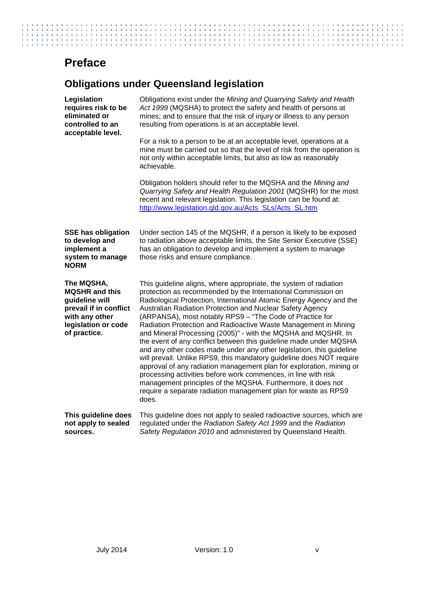# <span id="page-5-0"></span>**Preface**

the company's company's

# <span id="page-5-1"></span>**Obligations under Queensland legislation**

contact and a series and a series and a

| Legislation<br>requires risk to be<br>eliminated or<br>controlled to an<br>acceptable level.                                             | Obligations exist under the Mining and Quarrying Safety and Health<br>Act 1999 (MQSHA) to protect the safety and health of persons at<br>mines; and to ensure that the risk of injury or illness to any person<br>resulting from operations is at an acceptable level.                                                                                                                                                                                                                                                                                                                                                                                                                                                                                                                                                                                                                                                                                                          |  |
|------------------------------------------------------------------------------------------------------------------------------------------|---------------------------------------------------------------------------------------------------------------------------------------------------------------------------------------------------------------------------------------------------------------------------------------------------------------------------------------------------------------------------------------------------------------------------------------------------------------------------------------------------------------------------------------------------------------------------------------------------------------------------------------------------------------------------------------------------------------------------------------------------------------------------------------------------------------------------------------------------------------------------------------------------------------------------------------------------------------------------------|--|
|                                                                                                                                          | For a risk to a person to be at an acceptable level, operations at a<br>mine must be carried out so that the level of risk from the operation is<br>not only within acceptable limits, but also as low as reasonably<br>achievable.                                                                                                                                                                                                                                                                                                                                                                                                                                                                                                                                                                                                                                                                                                                                             |  |
|                                                                                                                                          | Obligation holders should refer to the MQSHA and the Mining and<br>Quarrying Safety and Health Regulation 2001 (MQSHR) for the most<br>recent and relevant legislation. This legislation can be found at:<br>http://www.legislation.qld.gov.au/Acts_SLs/Acts_SL.htm                                                                                                                                                                                                                                                                                                                                                                                                                                                                                                                                                                                                                                                                                                             |  |
| <b>SSE has obligation</b><br>to develop and<br>implement a<br>system to manage<br><b>NORM</b>                                            | Under section 145 of the MQSHR, if a person is likely to be exposed<br>to radiation above acceptable limits, the Site Senior Executive (SSE)<br>has an obligation to develop and implement a system to manage<br>those risks and ensure compliance.                                                                                                                                                                                                                                                                                                                                                                                                                                                                                                                                                                                                                                                                                                                             |  |
| The MQSHA,<br><b>MQSHR</b> and this<br>guideline will<br>prevail if in conflict<br>with any other<br>legislation or code<br>of practice. | This guideline aligns, where appropriate, the system of radiation<br>protection as recommended by the International Commission on<br>Radiological Protection, International Atomic Energy Agency and the<br>Australian Radiation Protection and Nuclear Safety Agency<br>(ARPANSA), most notably RPS9 - "The Code of Practice for<br>Radiation Protection and Radioactive Waste Management in Mining<br>and Mineral Processing (2005)" - with the MQSHA and MQSHR. In<br>the event of any conflict between this guideline made under MQSHA<br>and any other codes made under any other legislation, this guideline<br>will prevail. Unlike RPS9, this mandatory guideline does NOT require<br>approval of any radiation management plan for exploration, mining or<br>processing activities before work commences, in line with risk<br>management principles of the MQSHA. Furthermore, it does not<br>require a separate radiation management plan for waste as RPS9<br>does. |  |
| This guideline does<br>not apply to sealed<br>sources.                                                                                   | This guideline does not apply to sealed radioactive sources, which are<br>regulated under the Radiation Safety Act 1999 and the Radiation<br>Safety Regulation 2010 and administered by Queensland Health.                                                                                                                                                                                                                                                                                                                                                                                                                                                                                                                                                                                                                                                                                                                                                                      |  |

the contract of the contract of the contract of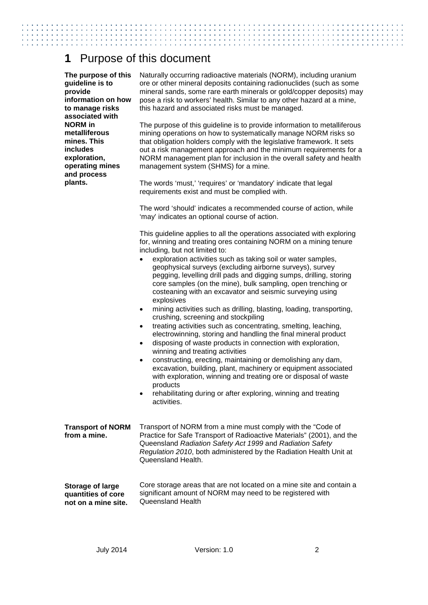## <span id="page-6-0"></span>**1** Purpose of this document

**The purpose of this guideline is to provide information on how to manage risks associated with NORM in metalliferous mines. This includes exploration, operating mines and process plants.**

Naturally occurring radioactive materials (NORM), including uranium ore or other mineral deposits containing radionuclides (such as some mineral sands, some rare earth minerals or gold/copper deposits) may pose a risk to workers' health. Similar to any other hazard at a mine, this hazard and associated risks must be managed.

The purpose of this guideline is to provide information to metalliferous mining operations on how to systematically manage NORM risks so that obligation holders comply with the legislative framework. It sets out a risk management approach and the minimum requirements for a NORM management plan for inclusion in the overall safety and health management system (SHMS) for a mine.

The words 'must,' 'requires' or 'mandatory' indicate that legal requirements exist and must be complied with.

The word 'should' indicates a recommended course of action, while 'may' indicates an optional course of action.

This guideline applies to all the operations associated with exploring for, winning and treating ores containing NORM on a mining tenure including, but not limited to:

- exploration activities such as taking soil or water samples, geophysical surveys (excluding airborne surveys), survey pegging, levelling drill pads and digging sumps, drilling, storing core samples (on the mine), bulk sampling, open trenching or costeaning with an excavator and seismic surveying using explosives
- mining activities such as drilling, blasting, loading, transporting, crushing, screening and stockpiling
- treating activities such as concentrating, smelting, leaching, electrowinning, storing and handling the final mineral product
- disposing of waste products in connection with exploration, winning and treating activities
- constructing, erecting, maintaining or demolishing any dam, excavation, building, plant, machinery or equipment associated with exploration, winning and treating ore or disposal of waste products
- rehabilitating during or after exploring, winning and treating activities.

| Transport of NORM from a mine must comply with the "Code of           |
|-----------------------------------------------------------------------|
| Practice for Safe Transport of Radioactive Materials" (2001), and the |
| Queensland Radiation Safety Act 1999 and Radiation Safety             |
| Regulation 2010, both administered by the Radiation Health Unit at    |
| Queensland Health.                                                    |
|                                                                       |

**Storage of large quantities of core not on a mine site.** Core storage areas that are not located on a mine site and contain a significant amount of NORM may need to be registered with Queensland Health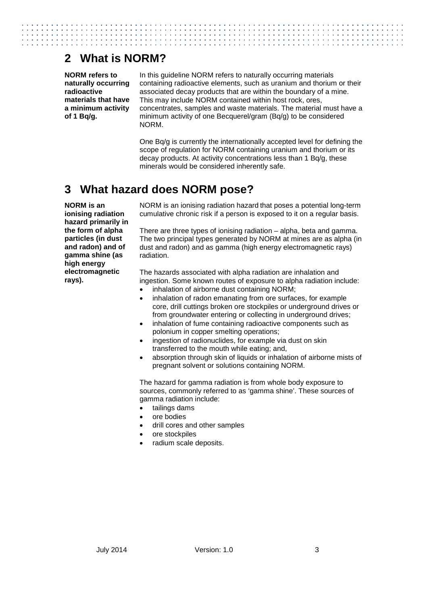# <span id="page-7-0"></span>**2 What is NORM?**

**NORM refers to naturally occurring radioactive materials that have a minimum activity of 1 Bq/g.**

In this guideline NORM refers to naturally occurring materials containing radioactive elements, such as uranium and thorium or their associated decay products that are within the boundary of a mine. This may include NORM contained within host rock, ores, concentrates, samples and waste materials. The material must have a minimum activity of one Becquerel/gram (Bq/g) to be considered NORM.

One Bq/g is currently the internationally accepted level for defining the scope of regulation for NORM containing uranium and thorium or its decay products. At activity concentrations less than 1 Bq/g, these minerals would be considered inherently safe.

# <span id="page-7-1"></span>**3 What hazard does NORM pose?**

**NORM is an ionising radiation hazard primarily in the form of alpha particles (in dust and radon) and of gamma shine (as high energy electromagnetic rays).** 

NORM is an ionising radiation hazard that poses a potential long-term cumulative chronic risk if a person is exposed to it on a regular basis.

There are three types of ionising radiation – alpha, beta and gamma. The two principal types generated by NORM at mines are as alpha (in dust and radon) and as gamma (high energy electromagnetic rays) radiation.

The hazards associated with alpha radiation are inhalation and ingestion. Some known routes of exposure to alpha radiation include:

- inhalation of airborne dust containing NORM;
- inhalation of radon emanating from ore surfaces, for example core, drill cuttings broken ore stockpiles or underground drives or from groundwater entering or collecting in underground drives;
- inhalation of fume containing radioactive components such as polonium in copper smelting operations;
- ingestion of radionuclides, for example via dust on skin transferred to the mouth while eating; and,
- absorption through skin of liquids or inhalation of airborne mists of pregnant solvent or solutions containing NORM.

The hazard for gamma radiation is from whole body exposure to sources, commonly referred to as 'gamma shine'. These sources of gamma radiation include:

- tailings dams
- ore bodies
- drill cores and other samples
- ore stockpiles
- <span id="page-7-2"></span>radium scale deposits.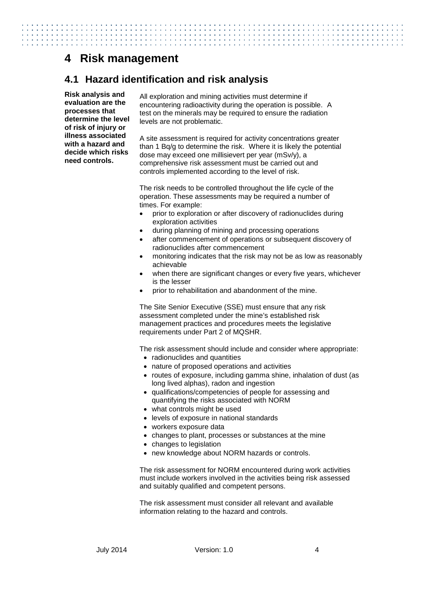# **4 Risk management**

## <span id="page-8-0"></span>**4.1 Hazard identification and risk analysis**

**Risk analysis and evaluation are the processes that determine the level of risk of injury or illness associated with a hazard and decide which risks need controls.**

All exploration and mining activities must determine if encountering radioactivity during the operation is possible. A test on the minerals may be required to ensure the radiation levels are not problematic.

A site assessment is required for activity concentrations greater than 1 Bq/g to determine the risk. Where it is likely the potential dose may exceed one millisievert per year (mSv/y), a comprehensive risk assessment must be carried out and controls implemented according to the level of risk.

The risk needs to be controlled throughout the life cycle of the operation. These assessments may be required a number of times. For example:

- prior to exploration or after discovery of radionuclides during exploration activities
- during planning of mining and processing operations
- after commencement of operations or subsequent discovery of radionuclides after commencement
- monitoring indicates that the risk may not be as low as reasonably achievable
- when there are significant changes or every five years, whichever is the lesser
- prior to rehabilitation and abandonment of the mine.

The Site Senior Executive (SSE) must ensure that any risk assessment completed under the mine's established risk management practices and procedures meets the legislative requirements under Part 2 of MQSHR.

The risk assessment should include and consider where appropriate:

- radionuclides and quantities
- nature of proposed operations and activities
- routes of exposure, including gamma shine, inhalation of dust (as long lived alphas), radon and ingestion
- qualifications/competencies of people for assessing and quantifying the risks associated with NORM
- what controls might be used
- levels of exposure in national standards
- workers exposure data
- changes to plant, processes or substances at the mine
- changes to legislation
- new knowledge about NORM hazards or controls.

The risk assessment for NORM encountered during work activities must include workers involved in the activities being risk assessed and suitably qualified and competent persons.

The risk assessment must consider all relevant and available information relating to the hazard and controls.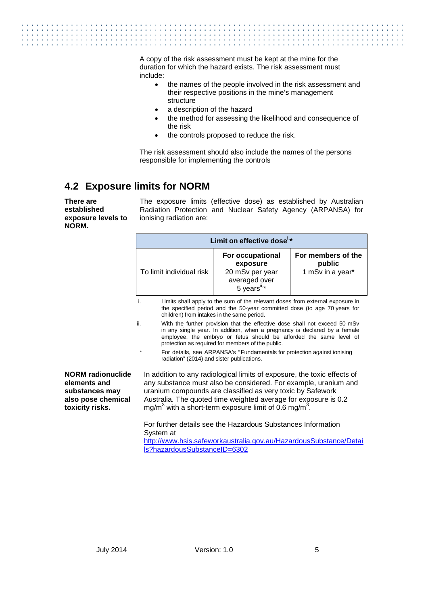A copy of the risk assessment must be kept at the mine for the duration for which the hazard exists. The risk assessment must include:

- the names of the people involved in the risk assessment and their respective positions in the mine's management structure
- a description of the hazard
- the method for assessing the likelihood and consequence of the risk
- the controls proposed to reduce the risk.

The risk assessment should also include the names of the persons responsible for implementing the controls

## <span id="page-9-0"></span>**4.2 Exposure limits for NORM**

**There are established exposure levels to NORM.**

The exposure limits (effective dose) as established by Australian Radiation Protection and Nuclear Safety Agency (ARPANSA) for ionising radiation are:

|                                                                                                     | Limit on effective dose <sup>i,*</sup>                                                                                                                                                                                                                                                    |                                                                                                                                                                                                                                                                                                                                                               |                                                  |  |
|-----------------------------------------------------------------------------------------------------|-------------------------------------------------------------------------------------------------------------------------------------------------------------------------------------------------------------------------------------------------------------------------------------------|---------------------------------------------------------------------------------------------------------------------------------------------------------------------------------------------------------------------------------------------------------------------------------------------------------------------------------------------------------------|--------------------------------------------------|--|
|                                                                                                     | To limit individual risk                                                                                                                                                                                                                                                                  | <b>For occupational</b><br>exposure<br>20 mSv per year<br>averaged over<br>5 years <sup>ii,*</sup>                                                                                                                                                                                                                                                            | For members of the<br>public<br>1 mSv in a year* |  |
|                                                                                                     | Limits shall apply to the sum of the relevant doses from external exposure in<br>i.<br>the specified period and the 50-year committed dose (to age 70 years for<br>children) from intakes in the same period.                                                                             |                                                                                                                                                                                                                                                                                                                                                               |                                                  |  |
|                                                                                                     | ii.<br>With the further provision that the effective dose shall not exceed 50 mSv<br>in any single year. In addition, when a pregnancy is declared by a female<br>employee, the embryo or fetus should be afforded the same level of<br>protection as required for members of the public. |                                                                                                                                                                                                                                                                                                                                                               |                                                  |  |
|                                                                                                     | *                                                                                                                                                                                                                                                                                         | For details, see ARPANSA's "Fundamentals for protection against ionising<br>radiation" (2014) and sister publications.                                                                                                                                                                                                                                        |                                                  |  |
| <b>NORM</b> radionuclide<br>elements and<br>substances may<br>also pose chemical<br>toxicity risks. |                                                                                                                                                                                                                                                                                           | In addition to any radiological limits of exposure, the toxic effects of<br>any substance must also be considered. For example, uranium and<br>uranium compounds are classified as very toxic by Safework<br>Australia. The quoted time weighted average for exposure is 0.2<br>mg/m <sup>3</sup> with a short-term exposure limit of 0.6 mg/m <sup>3</sup> . |                                                  |  |
|                                                                                                     | For further details see the Hazardous Substances Information<br>System at<br>http://www.hsis.safeworkaustralia.gov.au/HazardousSubstance/Detai<br>$\overline{a}$                                                                                                                          |                                                                                                                                                                                                                                                                                                                                                               |                                                  |  |

[ls?hazardousSubstanceID=6302](http://www.hsis.safeworkaustralia.gov.au/HazardousSubstance/Details?hazardousSubstanceID=6302)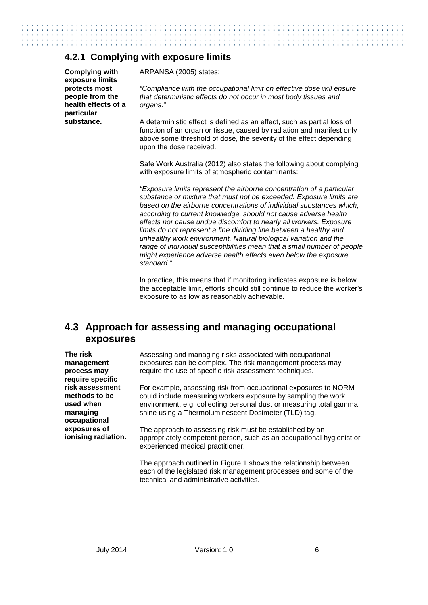### **4.2.1 Complying with exposure limits**

**Complying with exposure limits protects most people from the health effects of a particular substance.**

ARPANSA (2005) states:

*"Compliance with the occupational limit on effective dose will ensure that deterministic effects do not occur in most body tissues and organs."*

A deterministic effect is defined as an effect, such as partial loss of function of an organ or tissue, caused by radiation and manifest only above some threshold of dose, the severity of the effect depending upon the dose received.

Safe Work Australia (2012) also states the following about complying with exposure limits of atmospheric contaminants:

*"Exposure limits represent the airborne concentration of a particular substance or mixture that must not be exceeded. Exposure limits are based on the airborne concentrations of individual substances which, according to current knowledge, should not cause adverse health effects nor cause undue discomfort to nearly all workers. Exposure limits do not represent a fine dividing line between a healthy and unhealthy work environment. Natural biological variation and the range of individual susceptibilities mean that a small number of people might experience adverse health effects even below the exposure standard."*

In practice, this means that if monitoring indicates exposure is below the acceptable limit, efforts should still continue to reduce the worker's exposure to as low as reasonably achievable.

## <span id="page-10-0"></span>**4.3 Approach for assessing and managing occupational exposures**

**The risk management process may require specific risk assessment methods to be used when managing occupational exposures of ionising radiation** Assessing and managing risks associated with occupational exposures can be complex. The risk management process may require the use of specific risk assessment techniques.

For example, assessing risk from occupational exposures to NORM could include measuring workers exposure by sampling the work environment, e.g. collecting personal dust or measuring total gamma shine using a Thermoluminescent Dosimeter (TLD) tag.

The approach to assessing risk must be established by an **.** appropriately competent person, such as an occupational hygienist or experienced medical practitioner.

The approach outlined in Figure 1 shows the relationship between each of the legislated risk management processes and some of the technical and administrative activities.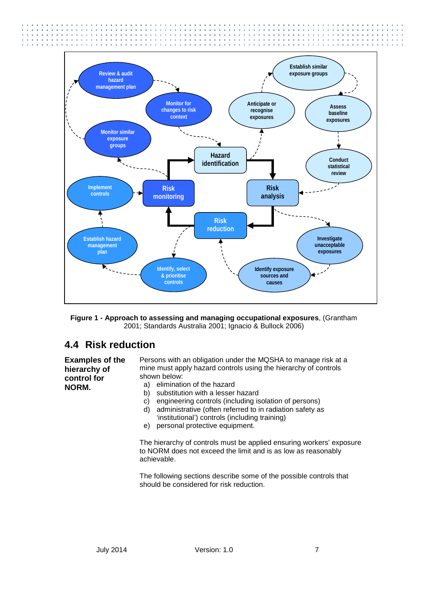

**Figure 1 - Approach to assessing and managing occupational exposures**, (Grantham 2001; Standards Australia 2001; Ignacio & Bullock 2006)

## <span id="page-11-0"></span>**4.4 Risk reduction**

**Examples of the hierarchy of control for NORM.** 

Persons with an obligation under the MQSHA to manage risk at a mine must apply hazard controls using the hierarchy of controls shown below:

- a) elimination of the hazard
- b) substitution with a lesser hazard
- c) engineering controls (including isolation of persons)
- d) administrative (often referred to in radiation safety as 'institutional') controls (including training)
- e) personal protective equipment.

The hierarchy of controls must be applied ensuring workers' exposure to NORM does not exceed the limit and is as low as reasonably achievable.

The following sections describe some of the possible controls that should be considered for risk reduction.

the second contract of the second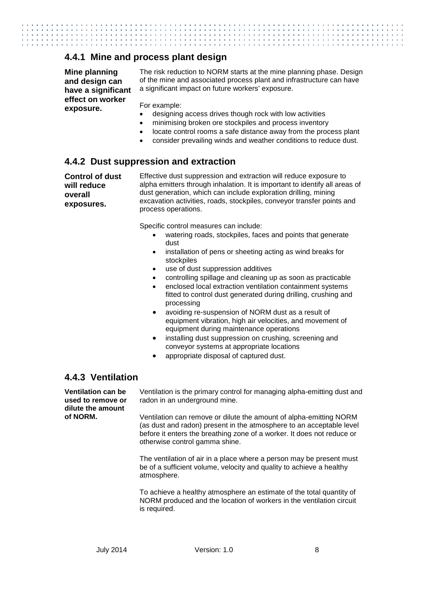#### **4.4.1 Mine and process plant design**

**Mine planning and design can have a significant effect on worker exposure.**

The risk reduction to NORM starts at the mine planning phase. Design of the mine and associated process plant and infrastructure can have a significant impact on future workers' exposure.

For example:

- designing access drives though rock with low activities
- minimising broken ore stockpiles and process inventory
- locate control rooms a safe distance away from the process plant
- consider prevailing winds and weather conditions to reduce dust.

#### **4.4.2 Dust suppression and extraction**

**Control of dust will reduce overall exposures.**

Effective dust suppression and extraction will reduce exposure to alpha emitters through inhalation. It is important to identify all areas of dust generation, which can include exploration drilling, mining excavation activities, roads, stockpiles, conveyor transfer points and process operations.

Specific control measures can include:

- watering roads, stockpiles, faces and points that generate dust
- installation of pens or sheeting acting as wind breaks for stockpiles
- use of dust suppression additives
- controlling spillage and cleaning up as soon as practicable
- enclosed local extraction ventilation containment systems fitted to control dust generated during drilling, crushing and processing
- avoiding re-suspension of NORM dust as a result of equipment vibration, high air velocities, and movement of equipment during maintenance operations
- installing dust suppression on crushing, screening and conveyor systems at appropriate locations
- appropriate disposal of captured dust.

### **4.4.3 Ventilation**

**Ventilation can be used to remove or dilute the amount of NORM.**

Ventilation is the primary control for managing alpha-emitting dust and radon in an underground mine.

Ventilation can remove or dilute the amount of alpha-emitting NORM (as dust and radon) present in the atmosphere to an acceptable level before it enters the breathing zone of a worker. It does not reduce or otherwise control gamma shine.

The ventilation of air in a place where a person may be present must be of a sufficient volume, velocity and quality to achieve a healthy atmosphere.

To achieve a healthy atmosphere an estimate of the total quantity of NORM produced and the location of workers in the ventilation circuit is required.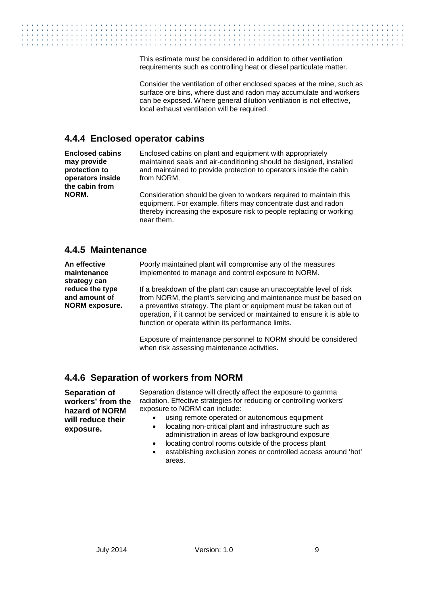This estimate must be considered in addition to other ventilation requirements such as controlling heat or diesel particulate matter.

Consider the ventilation of other enclosed spaces at the mine, such as surface ore bins, where dust and radon may accumulate and workers can be exposed. Where general dilution ventilation is not effective, local exhaust ventilation will be required.

### **4.4.4 Enclosed operator cabins**

**Enclosed cabins may provide protection to operators inside the cabin from NORM.**

Enclosed cabins on plant and equipment with appropriately maintained seals and air-conditioning should be designed, installed and maintained to provide protection to operators inside the cabin from NORM.

Consideration should be given to workers required to maintain this equipment. For example, filters may concentrate dust and radon thereby increasing the exposure risk to people replacing or working near them.

#### **4.4.5 Maintenance**

**An effective maintenance strategy can reduce the type and amount of NORM exposure.** Poorly maintained plant will compromise any of the measures implemented to manage and control exposure to NORM.

If a breakdown of the plant can cause an unacceptable level of risk from NORM, the plant's servicing and maintenance must be based on a preventive strategy. The plant or equipment must be taken out of operation, if it cannot be serviced or maintained to ensure it is able to function or operate within its performance limits.

Exposure of maintenance personnel to NORM should be considered when risk assessing maintenance activities.

## **4.4.6 Separation of workers from NORM**

**Separation of workers' from the hazard of NORM will reduce their exposure.**

Separation distance will directly affect the exposure to gamma radiation. Effective strategies for reducing or controlling workers' exposure to NORM can include:

- using remote operated or autonomous equipment
- locating non-critical plant and infrastructure such as administration in areas of low background exposure
- locating control rooms outside of the process plant
- establishing exclusion zones or controlled access around 'hot' areas.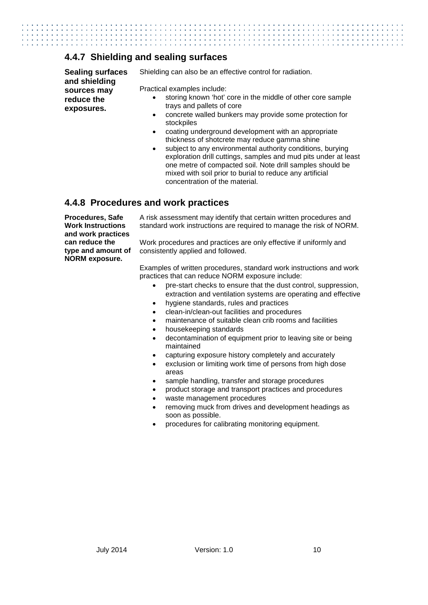### **4.4.7 Shielding and sealing surfaces**

**Sealing surfaces and shielding sources may reduce the exposures.**

Shielding can also be an effective control for radiation.

Practical examples include:

- storing known 'hot' core in the middle of other core sample trays and pallets of core
- concrete walled bunkers may provide some protection for stockpiles
- coating underground development with an appropriate thickness of shotcrete may reduce gamma shine
- subject to any environmental authority conditions, burying exploration drill cuttings, samples and mud pits under at least one metre of compacted soil. Note drill samples should be mixed with soil prior to burial to reduce any artificial concentration of the material.

#### **4.4.8 Procedures and work practices**

**Procedures, Safe Work Instructions and work practices can reduce the type and amount of NORM exposure.** 

A risk assessment may identify that certain written procedures and standard work instructions are required to manage the risk of NORM.

Work procedures and practices are only effective if uniformly and consistently applied and followed.

Examples of written procedures, standard work instructions and work practices that can reduce NORM exposure include:

- pre-start checks to ensure that the dust control, suppression, extraction and ventilation systems are operating and effective
- hygiene standards, rules and practices
- clean-in/clean-out facilities and procedures
- maintenance of suitable clean crib rooms and facilities
- housekeeping standards
- decontamination of equipment prior to leaving site or being maintained
- capturing exposure history completely and accurately
- exclusion or limiting work time of persons from high dose areas
- sample handling, transfer and storage procedures
- product storage and transport practices and procedures
- waste management procedures
- removing muck from drives and development headings as soon as possible.
- procedures for calibrating monitoring equipment.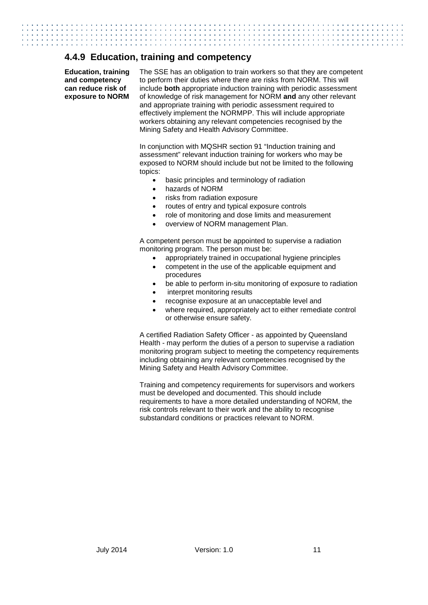### **4.4.9 Education, training and competency**

**Education, training and competency can reduce risk of exposure to NORM** The SSE has an obligation to train workers so that they are competent to perform their duties where there are risks from NORM. This will include **both** appropriate induction training with periodic assessment of knowledge of risk management for NORM **and** any other relevant and appropriate training with periodic assessment required to effectively implement the NORMPP. This will include appropriate workers obtaining any relevant competencies recognised by the Mining Safety and Health Advisory Committee.

In conjunction with MQSHR section 91 "Induction training and assessment" relevant induction training for workers who may be exposed to NORM should include but not be limited to the following topics:

- basic principles and terminology of radiation
- hazards of NORM
- risks from radiation exposure
- routes of entry and typical exposure controls
- role of monitoring and dose limits and measurement
- overview of NORM management Plan.

A competent person must be appointed to supervise a radiation monitoring program. The person must be:

- appropriately trained in occupational hygiene principles
- competent in the use of the applicable equipment and procedures
- be able to perform in-situ monitoring of exposure to radiation
- interpret monitoring results
- recognise exposure at an unacceptable level and
- where required, appropriately act to either remediate control or otherwise ensure safety.

A certified Radiation Safety Officer - as appointed by Queensland Health - may perform the duties of a person to supervise a radiation monitoring program subject to meeting the competency requirements including obtaining any relevant competencies recognised by the Mining Safety and Health Advisory Committee.

Training and competency requirements for supervisors and workers must be developed and documented. This should include requirements to have a more detailed understanding of NORM, the risk controls relevant to their work and the ability to recognise substandard conditions or practices relevant to NORM.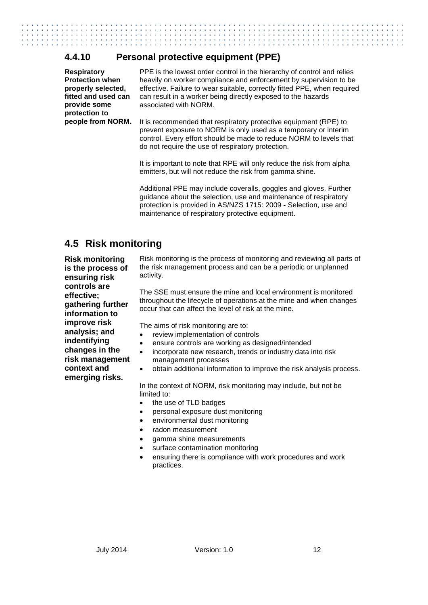## **4.4.10 Personal protective equipment (PPE)**

**Respiratory Protection when properly selected, fitted and used can provide some protection to** 

PPE is the lowest order control in the hierarchy of control and relies heavily on worker compliance and enforcement by supervision to be effective. Failure to wear suitable, correctly fitted PPE, when required can result in a worker being directly exposed to the hazards associated with NORM.

**people from NORM.** It is recommended that respiratory protective equipment (RPE) to prevent exposure to NORM is only used as a temporary or interim control. Every effort should be made to reduce NORM to levels that do not require the use of respiratory protection.

> It is important to note that RPE will only reduce the risk from alpha emitters, but will not reduce the risk from gamma shine.

> Additional PPE may include coveralls, goggles and gloves. Further guidance about the selection, use and maintenance of respiratory protection is provided in AS/NZS 1715: 2009 - Selection, use and maintenance of respiratory protective equipment.

## <span id="page-16-0"></span>**4.5 Risk monitoring**

**Risk monitoring is the process of ensuring risk controls are effective; gathering further information to improve risk analysis; and indentifying changes in the risk management context and emerging risks.** 

Risk monitoring is the process of monitoring and reviewing all parts of the risk management process and can be a periodic or unplanned activity.

The SSE must ensure the mine and local environment is monitored throughout the lifecycle of operations at the mine and when changes occur that can affect the level of risk at the mine.

The aims of risk monitoring are to:

- review implementation of controls
- ensure controls are working as designed/intended
- incorporate new research, trends or industry data into risk management processes
- obtain additional information to improve the risk analysis process.

In the context of NORM, risk monitoring may include, but not be limited to:

- the use of TLD badges
- personal exposure dust monitoring
- environmental dust monitoring
- radon measurement
- gamma shine measurements
- surface contamination monitoring
- ensuring there is compliance with work procedures and work practices.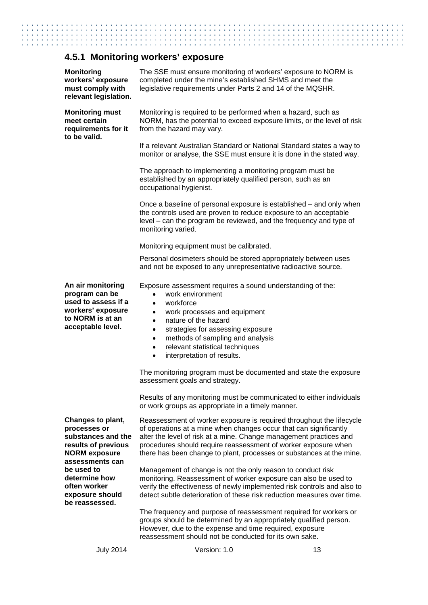# **4.5.1 Monitoring workers' exposure**

| <b>Monitoring</b><br>workers' exposure<br>must comply with<br>relevant legislation.                                       | The SSE must ensure monitoring of workers' exposure to NORM is<br>completed under the mine's established SHMS and meet the<br>legislative requirements under Parts 2 and 14 of the MQSHR.                                                                                                                                                                                                                                                                                                                   |                                                                                                                                          |  |  |
|---------------------------------------------------------------------------------------------------------------------------|-------------------------------------------------------------------------------------------------------------------------------------------------------------------------------------------------------------------------------------------------------------------------------------------------------------------------------------------------------------------------------------------------------------------------------------------------------------------------------------------------------------|------------------------------------------------------------------------------------------------------------------------------------------|--|--|
| <b>Monitoring must</b><br>meet certain<br>requirements for it<br>to be valid.                                             | from the hazard may vary.                                                                                                                                                                                                                                                                                                                                                                                                                                                                                   | Monitoring is required to be performed when a hazard, such as<br>NORM, has the potential to exceed exposure limits, or the level of risk |  |  |
|                                                                                                                           | If a relevant Australian Standard or National Standard states a way to<br>monitor or analyse, the SSE must ensure it is done in the stated way.                                                                                                                                                                                                                                                                                                                                                             |                                                                                                                                          |  |  |
|                                                                                                                           | The approach to implementing a monitoring program must be<br>established by an appropriately qualified person, such as an<br>occupational hygienist.                                                                                                                                                                                                                                                                                                                                                        |                                                                                                                                          |  |  |
|                                                                                                                           | Once a baseline of personal exposure is established – and only when<br>the controls used are proven to reduce exposure to an acceptable<br>level – can the program be reviewed, and the frequency and type of<br>monitoring varied.                                                                                                                                                                                                                                                                         |                                                                                                                                          |  |  |
|                                                                                                                           | Monitoring equipment must be calibrated.                                                                                                                                                                                                                                                                                                                                                                                                                                                                    |                                                                                                                                          |  |  |
|                                                                                                                           | Personal dosimeters should be stored appropriately between uses<br>and not be exposed to any unrepresentative radioactive source.                                                                                                                                                                                                                                                                                                                                                                           |                                                                                                                                          |  |  |
| An air monitoring<br>program can be<br>used to assess if a<br>workers' exposure<br>to NORM is at an<br>acceptable level.  | Exposure assessment requires a sound understanding of the:<br>work environment<br>$\bullet$<br>workforce<br>$\bullet$<br>work processes and equipment<br>$\bullet$<br>nature of the hazard<br>$\bullet$<br>strategies for assessing exposure<br>$\bullet$<br>methods of sampling and analysis<br>$\bullet$<br>relevant statistical techniques<br>$\bullet$<br>interpretation of results.<br>$\bullet$<br>The monitoring program must be documented and state the exposure<br>assessment goals and strategy. |                                                                                                                                          |  |  |
|                                                                                                                           | Results of any monitoring must be communicated to either individuals<br>or work groups as appropriate in a timely manner.                                                                                                                                                                                                                                                                                                                                                                                   |                                                                                                                                          |  |  |
| Changes to plant,<br>processes or<br>substances and the<br>results of previous<br><b>NORM</b> exposure<br>assessments can | Reassessment of worker exposure is required throughout the lifecycle<br>of operations at a mine when changes occur that can significantly<br>alter the level of risk at a mine. Change management practices and<br>procedures should require reassessment of worker exposure when<br>there has been change to plant, processes or substances at the mine.                                                                                                                                                   |                                                                                                                                          |  |  |
| be used to<br>determine how<br>often worker<br>exposure should<br>be reassessed.                                          | Management of change is not the only reason to conduct risk<br>monitoring. Reassessment of worker exposure can also be used to<br>verify the effectiveness of newly implemented risk controls and also to<br>detect subtle deterioration of these risk reduction measures over time.                                                                                                                                                                                                                        |                                                                                                                                          |  |  |
|                                                                                                                           | The frequency and purpose of reassessment required for workers or<br>groups should be determined by an appropriately qualified person.<br>However, due to the expense and time required, exposure<br>reassessment should not be conducted for its own sake.                                                                                                                                                                                                                                                 |                                                                                                                                          |  |  |
| <b>July 2014</b>                                                                                                          | Version: 1.0                                                                                                                                                                                                                                                                                                                                                                                                                                                                                                | 13                                                                                                                                       |  |  |

 $\mathbf{1}$  and  $\mathbf{1}$ 

 $\ddot{\phantom{a}}$  $\ddot{\phantom{a}}$  $\sim$   $\sim$ 

 $\sim$   $\sim$ 

÷.

t

 $\mathbf{1}$  and  $\mathbf{1}$ 

. . . . . . . . . . . . . . .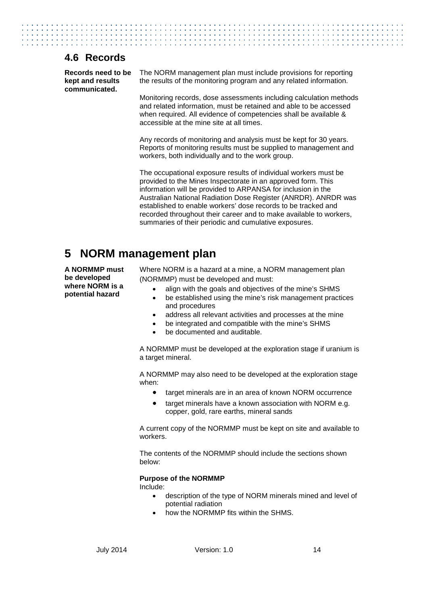## <span id="page-18-0"></span>**4.6 Records**

**Records need to be kept and results communicated.**

The NORM management plan must include provisions for reporting the results of the monitoring program and any related information.

Mo n itoring records, dose assessments including calculation methods and related information, must be retained and able to be accessed when required. All evidence of competencies shall be available & accessible at the mine site at all times.

Any records of monitoring and analysis must be kept for 30 years. Reports of monitoring results must be supplied to management and workers, both individually and to the work group.

The occupational exposure results of individual workers must be provided to the Mines Inspectorate in an approved form. This information will be provided to ARPANSA for inclusion in the Australian National Radiation Dose Register (ANRDR). ANRDR was established to enable workers' dose records to be tracked and recorded throughout their career and to make available to workers, summaries of their periodic and cumulative exposures.

# <span id="page-18-1"></span>**5 NORM management plan**

**A NORMMP must be developed where NORM is a potential hazard** 

Where NORM is a hazard at a mine, a NORM management plan (NORMMP) must be developed and must:

- align with the goals and objectives of the mine's SHMS
- be established using the mine's risk management practices and procedures
- address all relevant activities and processes at the mine
- be integrated and compatible with the mine's SHMS
- be documented and auditable.

A NORMMP must be developed at the exploration stage if uranium is a target mineral.

A NORMMP may also need to be developed at the exploration stage when:

- target minerals are in an area of known NORM occurrence
- target minerals have a known association with NORM e.g. copper, gold, rare earths, mineral sands

A current copy of the NORMMP must be kept on site and available to workers.

The contents of the NORMMP should include the sections shown below:

#### **Purpose of the NORMMP**

Include:

- description of the type of NORM minerals mined and level of potential radiation
- how the NORMMP fits within the SHMS.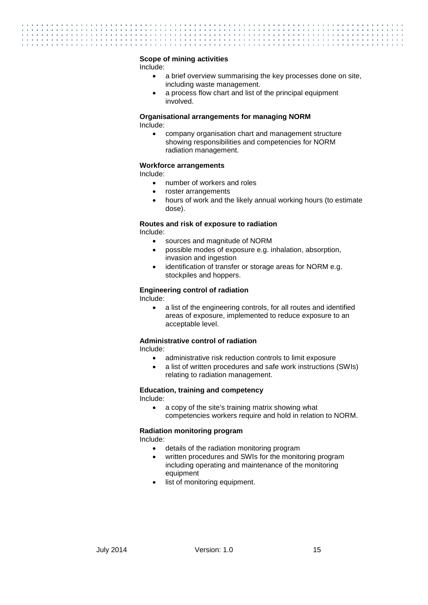#### **Scope of mining activities**

Include:

- a brief overview summarising the key processes done on site, including waste management.
- a process flow chart and list of the principal equipment involved.

#### **Organisational arrangements for managing NORM** Include:

• company organisation chart and management structure showing responsibilities and competencies for NORM radiation management.

#### **Workforce arrangements**

Include:

- number of workers and roles
- roster arrangements
- hours of work and the likely annual working hours (to estimate dose).

#### **Routes and risk of exposure to radiation**

Include:

- sources and magnitude of NORM
- possible modes of exposure e.g. inhalation, absorption, invasion and ingestion
- identification of transfer or storage areas for NORM e.g. stockpiles and hoppers.

#### **Engineering control of radiation**

Include:

• a list of the engineering controls, for all routes and identified areas of exposure, implemented to reduce exposure to an acceptable level.

#### **Administrative control of radiation**

Include:

- administrative risk reduction controls to limit exposure
- a list of written procedures and safe work instructions (SWIs) relating to radiation management.

#### **Education, training and competency**

Include:

• a copy of the site's training matrix showing what competencies workers require and hold in relation to NORM.

#### **Radiation monitoring program**

Include:

- details of the radiation monitoring program
- written procedures and SWIs for the monitoring program including operating and maintenance of the monitoring equipment
- list of monitoring equipment.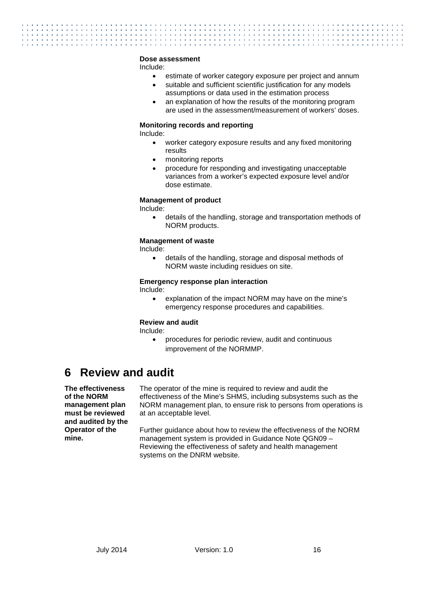#### **Dose assessment**

Include:

- estimate of worker category exposure per project and annum
- suitable and sufficient scientific justification for any models assumptions or data used in the estimation process
- an explanation of how the results of the monitoring program are used in the assessment/measurement of workers' doses.

#### **Monitoring records and reporting**

Include:

- worker category exposure results and any fixed monitoring results
- monitoring reports
- procedure for responding and investigating unacceptable variances from a worker's expected exposure level and/or dose estimate.

#### **Management of product**

Include:

• details of the handling, storage and transportation methods of NORM products.

#### **Management of waste**

Include:

• details of the handling, storage and disposal methods of NORM waste including residues on site.

#### **Emergency response plan interaction**

Include:

• explanation of the impact NORM may have on the mine's emergency response procedures and capabilities.

#### **Review and audit**

Include:

• procedures for periodic review, audit and continuous improvement of the NORMMP.

# <span id="page-20-0"></span>**6 Review and audit**

**The effectiveness of the NORM management plan must be reviewed and audited by the Operator of the mine.**

The operator of the mine is required to review and audit the effectiveness of the Mine's SHMS, including subsystems such as the NORM management plan, to ensure risk to persons from operations is at an acceptable level.

Further guidance about how to review the effectiveness of the NORM management system is provided in Guidance Note QGN09 – Reviewing the effectiveness of safety and health management systems on the DNRM website.